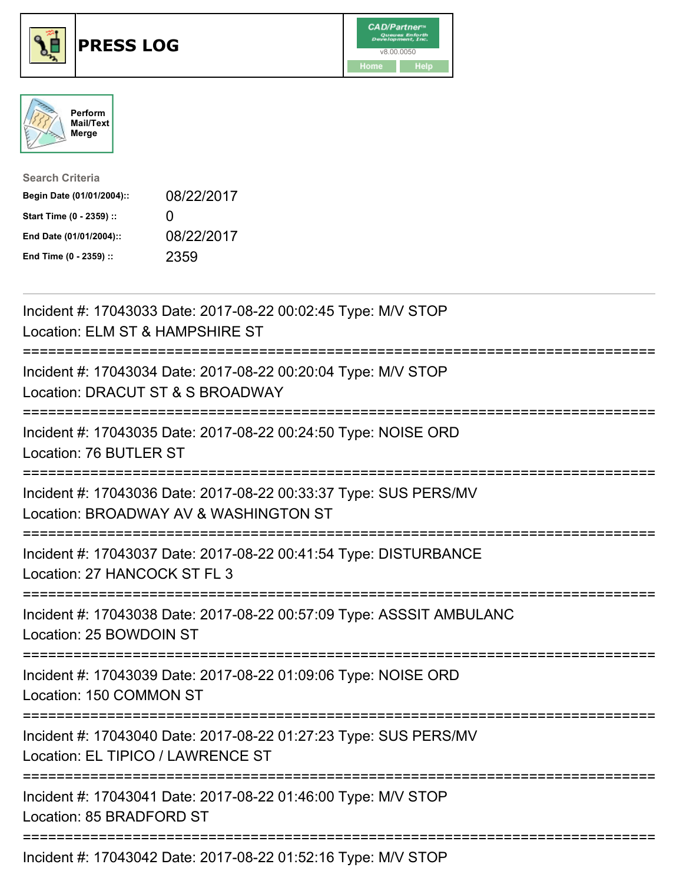

## **PRESS LOG** v8.00.0050





| <b>Search Criteria</b>    |              |
|---------------------------|--------------|
| Begin Date (01/01/2004):: | 08/22/2017   |
| Start Time (0 - 2359) ::  | $\mathbf{I}$ |
| End Date (01/01/2004)::   | 08/22/2017   |
| End Time (0 - 2359) ::    | 2359         |

Incident #: 17043033 Date: 2017-08-22 00:02:45 Type: M/V STOP Location: ELM ST & HAMPSHIRE ST =========================================================================== Incident #: 17043034 Date: 2017-08-22 00:20:04 Type: M/V STOP Location: DRACUT ST & S BROADWAY =========================================================================== Incident #: 17043035 Date: 2017-08-22 00:24:50 Type: NOISE ORD Location: 76 BUTLER ST =========================================================================== Incident #: 17043036 Date: 2017-08-22 00:33:37 Type: SUS PERS/MV Location: BROADWAY AV & WASHINGTON ST =========================================================================== Incident #: 17043037 Date: 2017-08-22 00:41:54 Type: DISTURBANCE Location: 27 HANCOCK ST FL 3 =========================================================================== Incident #: 17043038 Date: 2017-08-22 00:57:09 Type: ASSSIT AMBULANC Location: 25 BOWDOIN ST =========================================================================== Incident #: 17043039 Date: 2017-08-22 01:09:06 Type: NOISE ORD Location: 150 COMMON ST =========================================================================== Incident #: 17043040 Date: 2017-08-22 01:27:23 Type: SUS PERS/MV Location: EL TIPICO / LAWRENCE ST =========================================================================== Incident #: 17043041 Date: 2017-08-22 01:46:00 Type: M/V STOP Location: 85 BRADFORD ST =========================================================================== Incident #: 17043042 Date: 2017-08-22 01:52:16 Type: M/V STOP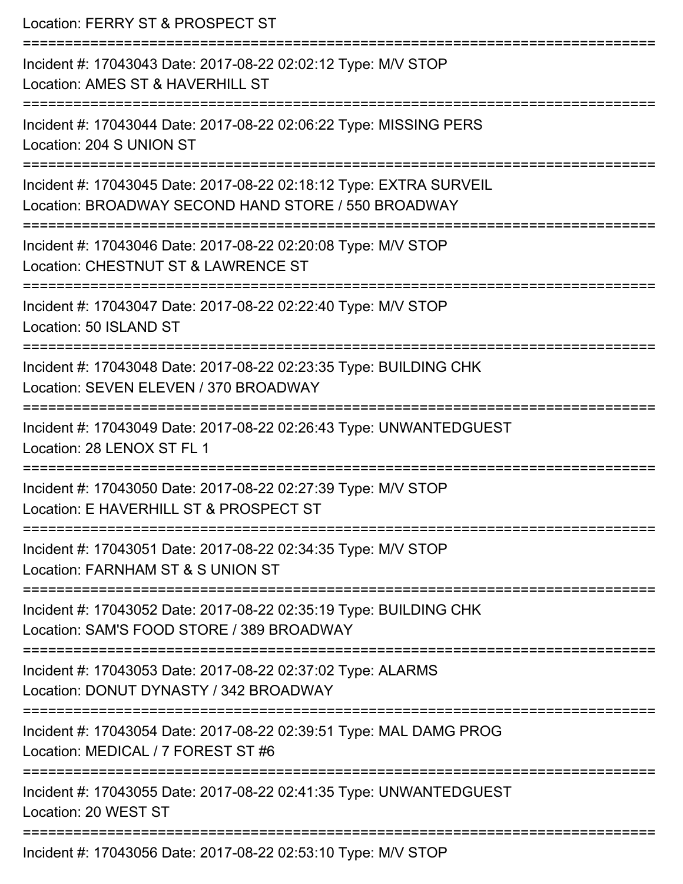| Location: FERRY ST & PROSPECT ST<br>==================                                                                     |
|----------------------------------------------------------------------------------------------------------------------------|
| Incident #: 17043043 Date: 2017-08-22 02:02:12 Type: M/V STOP<br>Location: AMES ST & HAVERHILL ST<br>:==================== |
| Incident #: 17043044 Date: 2017-08-22 02:06:22 Type: MISSING PERS<br>Location: 204 S UNION ST                              |
| Incident #: 17043045 Date: 2017-08-22 02:18:12 Type: EXTRA SURVEIL<br>Location: BROADWAY SECOND HAND STORE / 550 BROADWAY  |
| Incident #: 17043046 Date: 2017-08-22 02:20:08 Type: M/V STOP<br>Location: CHESTNUT ST & LAWRENCE ST                       |
| Incident #: 17043047 Date: 2017-08-22 02:22:40 Type: M/V STOP<br>Location: 50 ISLAND ST                                    |
| Incident #: 17043048 Date: 2017-08-22 02:23:35 Type: BUILDING CHK<br>Location: SEVEN ELEVEN / 370 BROADWAY                 |
| Incident #: 17043049 Date: 2017-08-22 02:26:43 Type: UNWANTEDGUEST<br>Location: 28 LENOX ST FL 1                           |
| Incident #: 17043050 Date: 2017-08-22 02:27:39 Type: M/V STOP<br>Location: E HAVERHILL ST & PROSPECT ST                    |
| Incident #: 17043051 Date: 2017-08-22 02:34:35 Type: M/V STOP<br>Location: FARNHAM ST & S UNION ST                         |
| Incident #: 17043052 Date: 2017-08-22 02:35:19 Type: BUILDING CHK<br>Location: SAM'S FOOD STORE / 389 BROADWAY             |
| Incident #: 17043053 Date: 2017-08-22 02:37:02 Type: ALARMS<br>Location: DONUT DYNASTY / 342 BROADWAY                      |
| Incident #: 17043054 Date: 2017-08-22 02:39:51 Type: MAL DAMG PROG<br>Location: MEDICAL / 7 FOREST ST #6                   |
| Incident #: 17043055 Date: 2017-08-22 02:41:35 Type: UNWANTEDGUEST<br>Location: 20 WEST ST                                 |
| Incident #: 17043056 Date: 2017-08-22 02:53:10 Type: M/V STOP                                                              |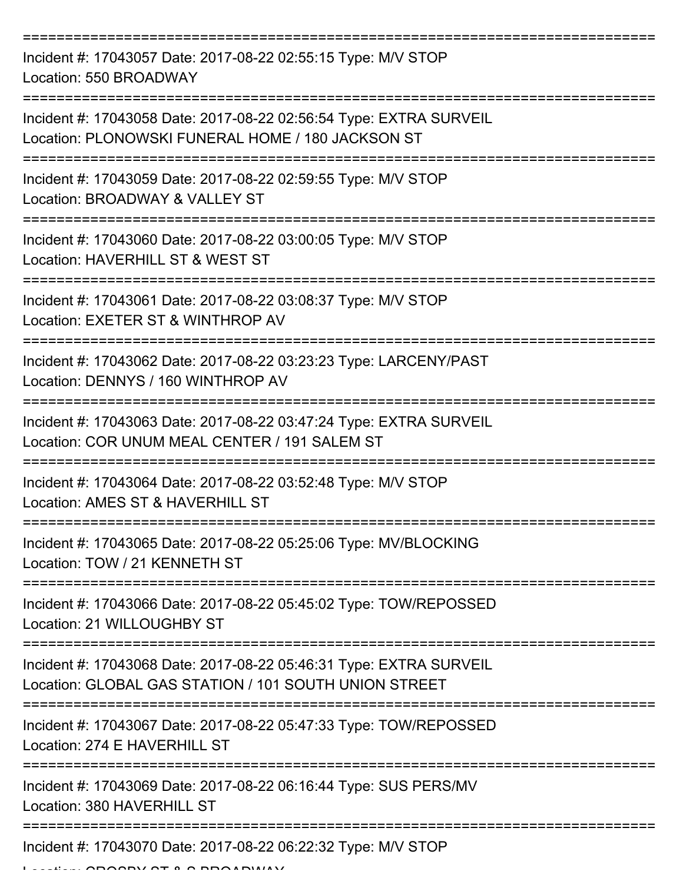| Incident #: 17043057 Date: 2017-08-22 02:55:15 Type: M/V STOP<br>Location: 550 BROADWAY                                     |
|-----------------------------------------------------------------------------------------------------------------------------|
| Incident #: 17043058 Date: 2017-08-22 02:56:54 Type: EXTRA SURVEIL<br>Location: PLONOWSKI FUNERAL HOME / 180 JACKSON ST     |
| Incident #: 17043059 Date: 2017-08-22 02:59:55 Type: M/V STOP<br>Location: BROADWAY & VALLEY ST                             |
| Incident #: 17043060 Date: 2017-08-22 03:00:05 Type: M/V STOP<br>Location: HAVERHILL ST & WEST ST                           |
| Incident #: 17043061 Date: 2017-08-22 03:08:37 Type: M/V STOP<br>Location: EXETER ST & WINTHROP AV                          |
| Incident #: 17043062 Date: 2017-08-22 03:23:23 Type: LARCENY/PAST<br>Location: DENNYS / 160 WINTHROP AV                     |
| Incident #: 17043063 Date: 2017-08-22 03:47:24 Type: EXTRA SURVEIL<br>Location: COR UNUM MEAL CENTER / 191 SALEM ST         |
| Incident #: 17043064 Date: 2017-08-22 03:52:48 Type: M/V STOP<br>Location: AMES ST & HAVERHILL ST                           |
| Incident #: 17043065 Date: 2017-08-22 05:25:06 Type: MV/BLOCKING<br>Location: TOW / 21 KENNETH ST                           |
| Incident #: 17043066 Date: 2017-08-22 05:45:02 Type: TOW/REPOSSED<br>Location: 21 WILLOUGHBY ST                             |
| Incident #: 17043068 Date: 2017-08-22 05:46:31 Type: EXTRA SURVEIL<br>Location: GLOBAL GAS STATION / 101 SOUTH UNION STREET |
| Incident #: 17043067 Date: 2017-08-22 05:47:33 Type: TOW/REPOSSED<br>Location: 274 E HAVERHILL ST                           |
| Incident #: 17043069 Date: 2017-08-22 06:16:44 Type: SUS PERS/MV<br>Location: 380 HAVERHILL ST                              |
| Incident #: 17043070 Date: 2017-08-22 06:22:32 Type: M/V STOP                                                               |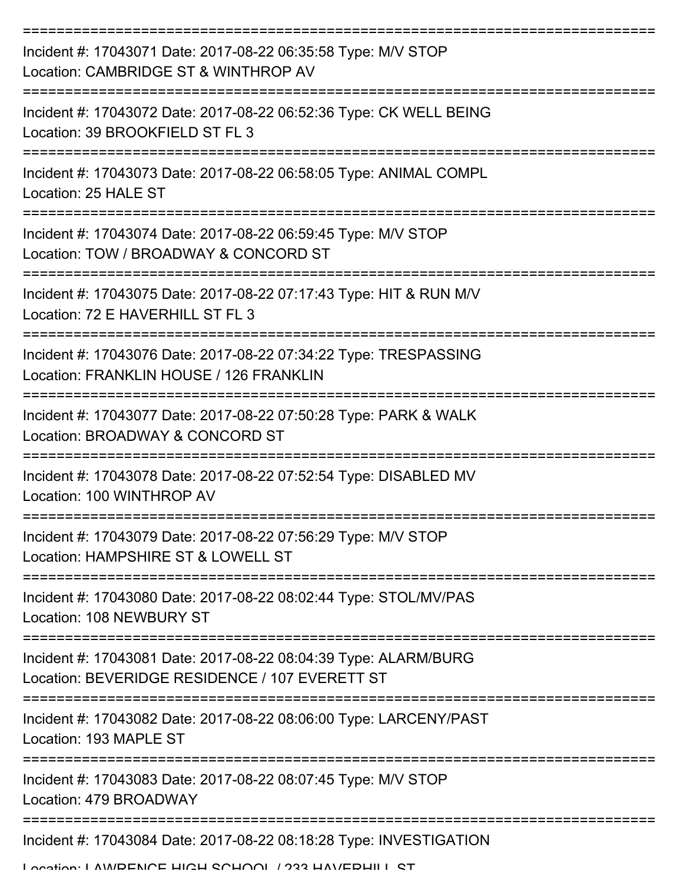| Incident #: 17043071 Date: 2017-08-22 06:35:58 Type: M/V STOP<br>Location: CAMBRIDGE ST & WINTHROP AV                        |
|------------------------------------------------------------------------------------------------------------------------------|
| Incident #: 17043072 Date: 2017-08-22 06:52:36 Type: CK WELL BEING<br>Location: 39 BROOKFIELD ST FL 3                        |
| Incident #: 17043073 Date: 2017-08-22 06:58:05 Type: ANIMAL COMPL<br>Location: 25 HALE ST                                    |
| Incident #: 17043074 Date: 2017-08-22 06:59:45 Type: M/V STOP<br>Location: TOW / BROADWAY & CONCORD ST                       |
| Incident #: 17043075 Date: 2017-08-22 07:17:43 Type: HIT & RUN M/V<br>Location: 72 E HAVERHILL ST FL 3                       |
| Incident #: 17043076 Date: 2017-08-22 07:34:22 Type: TRESPASSING<br>Location: FRANKLIN HOUSE / 126 FRANKLIN                  |
| Incident #: 17043077 Date: 2017-08-22 07:50:28 Type: PARK & WALK<br>Location: BROADWAY & CONCORD ST                          |
| Incident #: 17043078 Date: 2017-08-22 07:52:54 Type: DISABLED MV<br>Location: 100 WINTHROP AV                                |
| Incident #: 17043079 Date: 2017-08-22 07:56:29 Type: M/V STOP<br>Location: HAMPSHIRE ST & LOWELL ST                          |
| Incident #: 17043080 Date: 2017-08-22 08:02:44 Type: STOL/MV/PAS<br>Location: 108 NEWBURY ST                                 |
| Incident #: 17043081 Date: 2017-08-22 08:04:39 Type: ALARM/BURG<br>Location: BEVERIDGE RESIDENCE / 107 EVERETT ST            |
| Incident #: 17043082 Date: 2017-08-22 08:06:00 Type: LARCENY/PAST<br>Location: 193 MAPLE ST                                  |
| Incident #: 17043083 Date: 2017-08-22 08:07:45 Type: M/V STOP<br>Location: 479 BROADWAY                                      |
| Incident #: 17043084 Date: 2017-08-22 08:18:28 Type: INVESTIGATION<br>I opation: I AM/DENICE HICH CCHOOL / 922 HAV/EDHILL CT |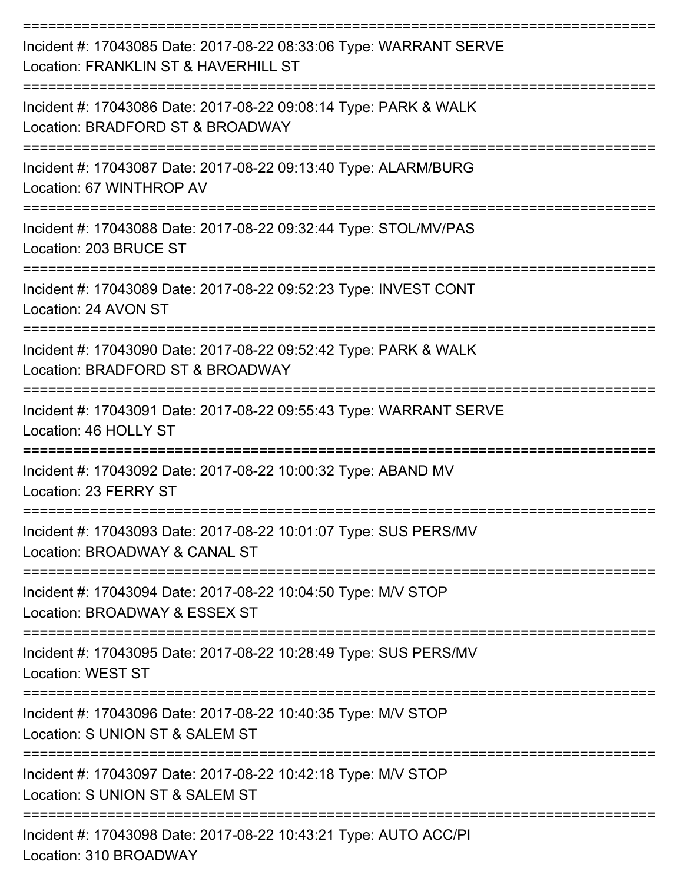| Incident #: 17043085 Date: 2017-08-22 08:33:06 Type: WARRANT SERVE<br>Location: FRANKLIN ST & HAVERHILL ST                                                |
|-----------------------------------------------------------------------------------------------------------------------------------------------------------|
| Incident #: 17043086 Date: 2017-08-22 09:08:14 Type: PARK & WALK<br>Location: BRADFORD ST & BROADWAY                                                      |
| Incident #: 17043087 Date: 2017-08-22 09:13:40 Type: ALARM/BURG<br>Location: 67 WINTHROP AV                                                               |
| Incident #: 17043088 Date: 2017-08-22 09:32:44 Type: STOL/MV/PAS<br>Location: 203 BRUCE ST                                                                |
| Incident #: 17043089 Date: 2017-08-22 09:52:23 Type: INVEST CONT<br>Location: 24 AVON ST                                                                  |
| Incident #: 17043090 Date: 2017-08-22 09:52:42 Type: PARK & WALK<br>Location: BRADFORD ST & BROADWAY                                                      |
| --------------------<br>Incident #: 17043091 Date: 2017-08-22 09:55:43 Type: WARRANT SERVE<br>Location: 46 HOLLY ST                                       |
| Incident #: 17043092 Date: 2017-08-22 10:00:32 Type: ABAND MV<br>Location: 23 FERRY ST                                                                    |
| Incident #: 17043093 Date: 2017-08-22 10:01:07 Type: SUS PERS/MV<br>Location: BROADWAY & CANAL ST                                                         |
| Incident #: 17043094 Date: 2017-08-22 10:04:50 Type: M/V STOP<br>Location: BROADWAY & ESSEX ST                                                            |
| Incident #: 17043095 Date: 2017-08-22 10:28:49 Type: SUS PERS/MV<br><b>Location: WEST ST</b>                                                              |
| :=================================<br>===============<br>Incident #: 17043096 Date: 2017-08-22 10:40:35 Type: M/V STOP<br>Location: S UNION ST & SALEM ST |
| Incident #: 17043097 Date: 2017-08-22 10:42:18 Type: M/V STOP<br>Location: S UNION ST & SALEM ST                                                          |
| Incident #: 17043098 Date: 2017-08-22 10:43:21 Type: AUTO ACC/PI<br>Location: 310 BROADWAY                                                                |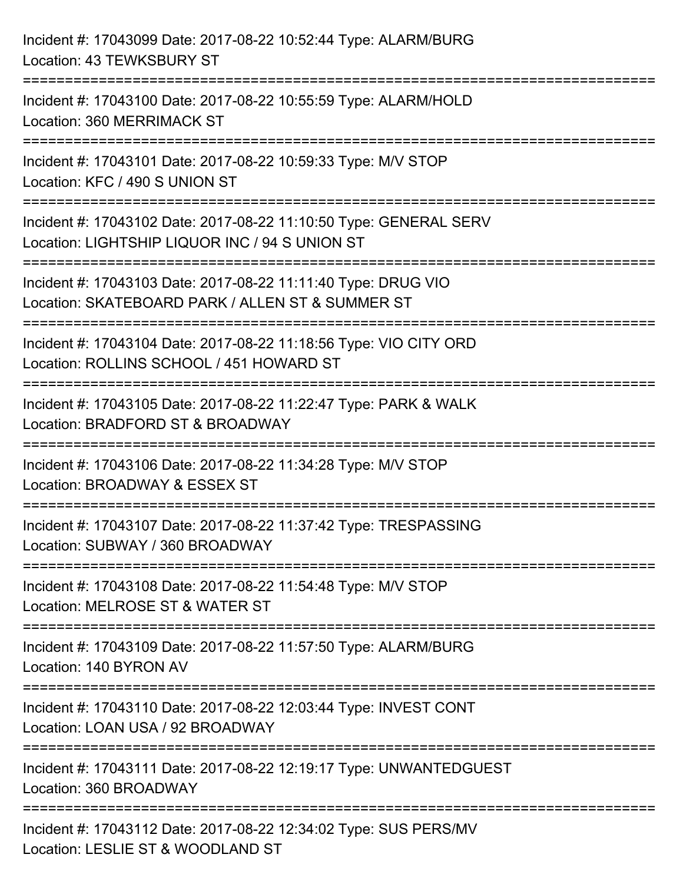| Incident #: 17043099 Date: 2017-08-22 10:52:44 Type: ALARM/BURG<br>Location: 43 TEWKSBURY ST                                                |
|---------------------------------------------------------------------------------------------------------------------------------------------|
| Incident #: 17043100 Date: 2017-08-22 10:55:59 Type: ALARM/HOLD<br>Location: 360 MERRIMACK ST                                               |
| Incident #: 17043101 Date: 2017-08-22 10:59:33 Type: M/V STOP<br>Location: KFC / 490 S UNION ST                                             |
| Incident #: 17043102 Date: 2017-08-22 11:10:50 Type: GENERAL SERV<br>Location: LIGHTSHIP LIQUOR INC / 94 S UNION ST<br>-------------------- |
| Incident #: 17043103 Date: 2017-08-22 11:11:40 Type: DRUG VIO<br>Location: SKATEBOARD PARK / ALLEN ST & SUMMER ST                           |
| Incident #: 17043104 Date: 2017-08-22 11:18:56 Type: VIO CITY ORD<br>Location: ROLLINS SCHOOL / 451 HOWARD ST                               |
| Incident #: 17043105 Date: 2017-08-22 11:22:47 Type: PARK & WALK<br>Location: BRADFORD ST & BROADWAY                                        |
| Incident #: 17043106 Date: 2017-08-22 11:34:28 Type: M/V STOP<br>Location: BROADWAY & ESSEX ST                                              |
| Incident #: 17043107 Date: 2017-08-22 11:37:42 Type: TRESPASSING<br>Location: SUBWAY / 360 BROADWAY                                         |
| Incident #: 17043108 Date: 2017-08-22 11:54:48 Type: M/V STOP<br>Location: MELROSE ST & WATER ST                                            |
| Incident #: 17043109 Date: 2017-08-22 11:57:50 Type: ALARM/BURG<br>Location: 140 BYRON AV                                                   |
| Incident #: 17043110 Date: 2017-08-22 12:03:44 Type: INVEST CONT<br>Location: LOAN USA / 92 BROADWAY                                        |
| Incident #: 17043111 Date: 2017-08-22 12:19:17 Type: UNWANTEDGUEST<br>Location: 360 BROADWAY                                                |
| Incident #: 17043112 Date: 2017-08-22 12:34:02 Type: SUS PERS/MV<br>Location: LESLIE ST & WOODLAND ST                                       |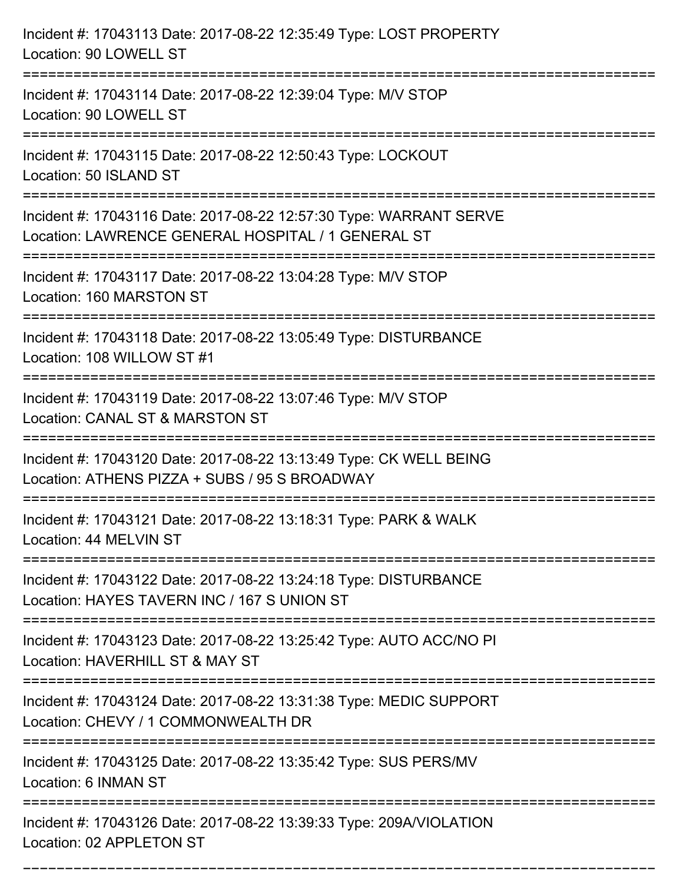| Incident #: 17043113 Date: 2017-08-22 12:35:49 Type: LOST PROPERTY<br>Location: 90 LOWELL ST                                                          |
|-------------------------------------------------------------------------------------------------------------------------------------------------------|
| Incident #: 17043114 Date: 2017-08-22 12:39:04 Type: M/V STOP<br>Location: 90 LOWELL ST                                                               |
| Incident #: 17043115 Date: 2017-08-22 12:50:43 Type: LOCKOUT<br>Location: 50 ISLAND ST                                                                |
| Incident #: 17043116 Date: 2017-08-22 12:57:30 Type: WARRANT SERVE<br>Location: LAWRENCE GENERAL HOSPITAL / 1 GENERAL ST<br>:======================== |
| Incident #: 17043117 Date: 2017-08-22 13:04:28 Type: M/V STOP<br>Location: 160 MARSTON ST                                                             |
| Incident #: 17043118 Date: 2017-08-22 13:05:49 Type: DISTURBANCE<br>Location: 108 WILLOW ST #1                                                        |
| Incident #: 17043119 Date: 2017-08-22 13:07:46 Type: M/V STOP<br>Location: CANAL ST & MARSTON ST                                                      |
| Incident #: 17043120 Date: 2017-08-22 13:13:49 Type: CK WELL BEING<br>Location: ATHENS PIZZA + SUBS / 95 S BROADWAY                                   |
| Incident #: 17043121 Date: 2017-08-22 13:18:31 Type: PARK & WALK<br>Location: 44 MELVIN ST                                                            |
| Incident #: 17043122 Date: 2017-08-22 13:24:18 Type: DISTURBANCE<br>Location: HAYES TAVERN INC / 167 S UNION ST                                       |
| Incident #: 17043123 Date: 2017-08-22 13:25:42 Type: AUTO ACC/NO PI<br>Location: HAVERHILL ST & MAY ST                                                |
| Incident #: 17043124 Date: 2017-08-22 13:31:38 Type: MEDIC SUPPORT<br>Location: CHEVY / 1 COMMONWEALTH DR                                             |
| Incident #: 17043125 Date: 2017-08-22 13:35:42 Type: SUS PERS/MV<br>Location: 6 INMAN ST                                                              |
| Incident #: 17043126 Date: 2017-08-22 13:39:33 Type: 209A/VIOLATION<br>Location: 02 APPLETON ST                                                       |

===========================================================================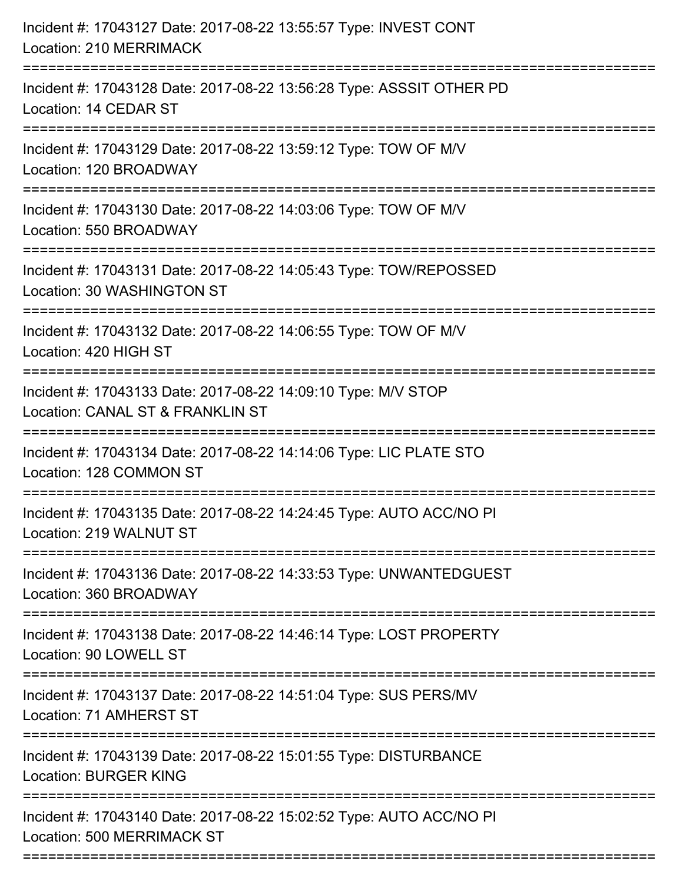| Incident #: 17043127 Date: 2017-08-22 13:55:57 Type: INVEST CONT<br>Location: 210 MERRIMACK                                                                         |
|---------------------------------------------------------------------------------------------------------------------------------------------------------------------|
| Incident #: 17043128 Date: 2017-08-22 13:56:28 Type: ASSSIT OTHER PD<br>Location: 14 CEDAR ST                                                                       |
| Incident #: 17043129 Date: 2017-08-22 13:59:12 Type: TOW OF M/V<br>Location: 120 BROADWAY<br>=======================                                                |
| Incident #: 17043130 Date: 2017-08-22 14:03:06 Type: TOW OF M/V<br>Location: 550 BROADWAY                                                                           |
| Incident #: 17043131 Date: 2017-08-22 14:05:43 Type: TOW/REPOSSED<br>Location: 30 WASHINGTON ST<br>============================<br>:=============================== |
| Incident #: 17043132 Date: 2017-08-22 14:06:55 Type: TOW OF M/V<br>Location: 420 HIGH ST                                                                            |
| Incident #: 17043133 Date: 2017-08-22 14:09:10 Type: M/V STOP<br>Location: CANAL ST & FRANKLIN ST                                                                   |
| Incident #: 17043134 Date: 2017-08-22 14:14:06 Type: LIC PLATE STO<br>Location: 128 COMMON ST                                                                       |
| Incident #: 17043135 Date: 2017-08-22 14:24:45 Type: AUTO ACC/NO PI<br>Location: 219 WALNUT ST                                                                      |
| Incident #: 17043136 Date: 2017-08-22 14:33:53 Type: UNWANTEDGUEST<br>Location: 360 BROADWAY                                                                        |
| Incident #: 17043138 Date: 2017-08-22 14:46:14 Type: LOST PROPERTY<br>Location: 90 LOWELL ST                                                                        |
| Incident #: 17043137 Date: 2017-08-22 14:51:04 Type: SUS PERS/MV<br>Location: 71 AMHERST ST                                                                         |
| Incident #: 17043139 Date: 2017-08-22 15:01:55 Type: DISTURBANCE<br><b>Location: BURGER KING</b>                                                                    |
| Incident #: 17043140 Date: 2017-08-22 15:02:52 Type: AUTO ACC/NO PI<br><b>Location: 500 MERRIMACK ST</b>                                                            |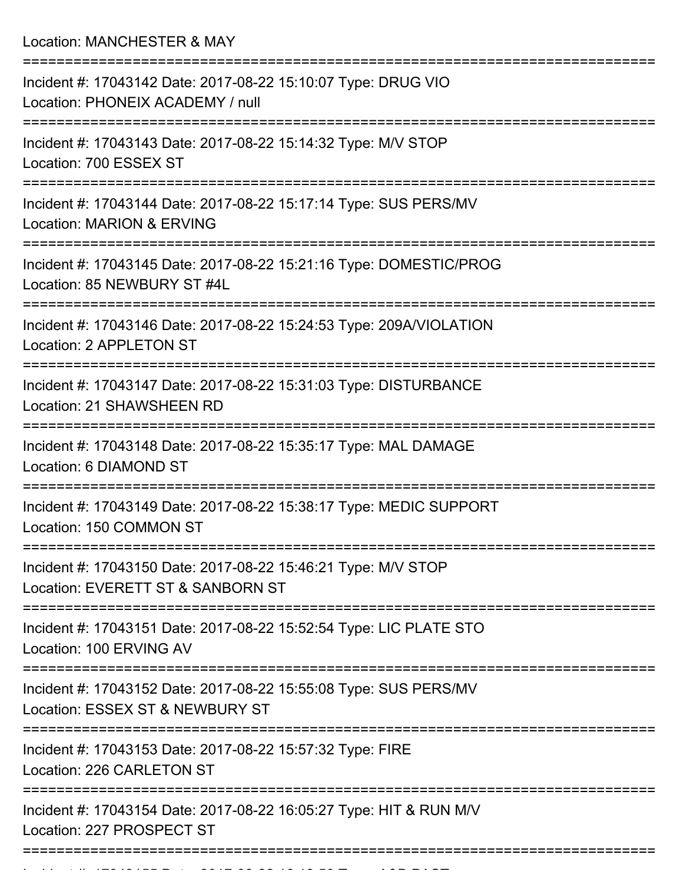Location: MANCHESTER & MAY

| Incident #: 17043142 Date: 2017-08-22 15:10:07 Type: DRUG VIO<br>Location: PHONEIX ACADEMY / null        |
|----------------------------------------------------------------------------------------------------------|
| Incident #: 17043143 Date: 2017-08-22 15:14:32 Type: M/V STOP<br>Location: 700 ESSEX ST                  |
| Incident #: 17043144 Date: 2017-08-22 15:17:14 Type: SUS PERS/MV<br><b>Location: MARION &amp; ERVING</b> |
| Incident #: 17043145 Date: 2017-08-22 15:21:16 Type: DOMESTIC/PROG<br>Location: 85 NEWBURY ST #4L        |
| Incident #: 17043146 Date: 2017-08-22 15:24:53 Type: 209A/VIOLATION<br>Location: 2 APPLETON ST           |
| Incident #: 17043147 Date: 2017-08-22 15:31:03 Type: DISTURBANCE<br>Location: 21 SHAWSHEEN RD            |
| Incident #: 17043148 Date: 2017-08-22 15:35:17 Type: MAL DAMAGE<br>Location: 6 DIAMOND ST                |
| Incident #: 17043149 Date: 2017-08-22 15:38:17 Type: MEDIC SUPPORT<br>Location: 150 COMMON ST            |
| Incident #: 17043150 Date: 2017-08-22 15:46:21 Type: M/V STOP<br>Location: EVERETT ST & SANBORN ST       |
| Incident #: 17043151 Date: 2017-08-22 15:52:54 Type: LIC PLATE STO<br>Location: 100 ERVING AV            |
| Incident #: 17043152 Date: 2017-08-22 15:55:08 Type: SUS PERS/MV<br>Location: ESSEX ST & NEWBURY ST      |
| Incident #: 17043153 Date: 2017-08-22 15:57:32 Type: FIRE<br>Location: 226 CARLETON ST                   |
| Incident #: 17043154 Date: 2017-08-22 16:05:27 Type: HIT & RUN M/V<br>Location: 227 PROSPECT ST          |
|                                                                                                          |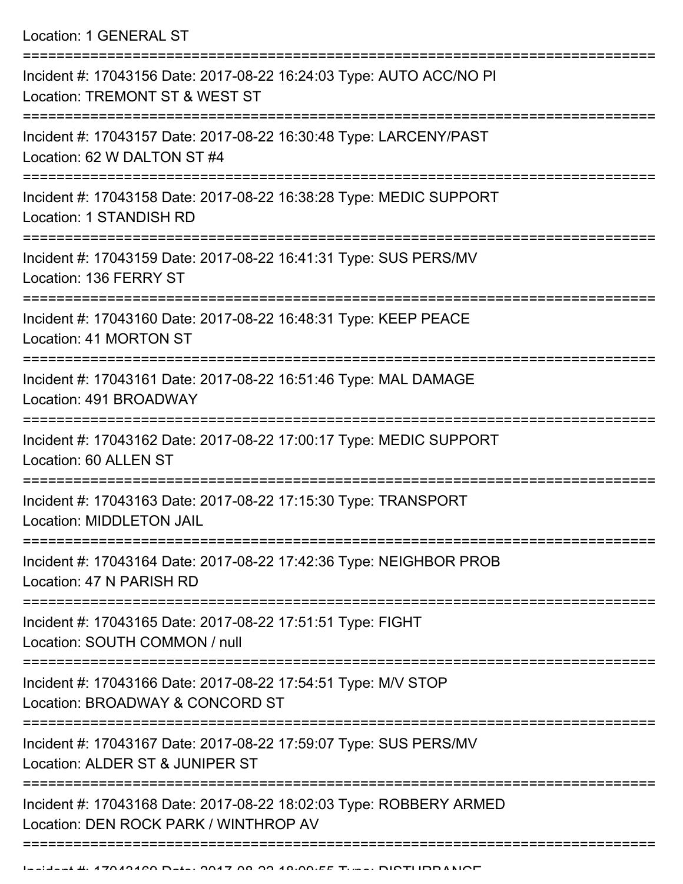Location: 1 GENERAL ST

| Incident #: 17043156 Date: 2017-08-22 16:24:03 Type: AUTO ACC/NO PI<br>Location: TREMONT ST & WEST ST           |
|-----------------------------------------------------------------------------------------------------------------|
| Incident #: 17043157 Date: 2017-08-22 16:30:48 Type: LARCENY/PAST<br>Location: 62 W DALTON ST #4                |
| Incident #: 17043158 Date: 2017-08-22 16:38:28 Type: MEDIC SUPPORT<br>Location: 1 STANDISH RD                   |
| Incident #: 17043159 Date: 2017-08-22 16:41:31 Type: SUS PERS/MV<br>Location: 136 FERRY ST                      |
| Incident #: 17043160 Date: 2017-08-22 16:48:31 Type: KEEP PEACE<br>Location: 41 MORTON ST                       |
| Incident #: 17043161 Date: 2017-08-22 16:51:46 Type: MAL DAMAGE<br>Location: 491 BROADWAY                       |
| Incident #: 17043162 Date: 2017-08-22 17:00:17 Type: MEDIC SUPPORT<br>Location: 60 ALLEN ST                     |
| Incident #: 17043163 Date: 2017-08-22 17:15:30 Type: TRANSPORT<br>Location: MIDDLETON JAIL                      |
| Incident #: 17043164 Date: 2017-08-22 17:42:36 Type: NEIGHBOR PROB<br>Location: 47 N PARISH RD<br>------------- |
| Incident #: 17043165 Date: 2017-08-22 17:51:51 Type: FIGHT<br>Location: SOUTH COMMON / null                     |
| Incident #: 17043166 Date: 2017-08-22 17:54:51 Type: M/V STOP<br>Location: BROADWAY & CONCORD ST                |
| Incident #: 17043167 Date: 2017-08-22 17:59:07 Type: SUS PERS/MV<br>Location: ALDER ST & JUNIPER ST             |
| Incident #: 17043168 Date: 2017-08-22 18:02:03 Type: ROBBERY ARMED<br>Location: DEN ROCK PARK / WINTHROP AV     |
|                                                                                                                 |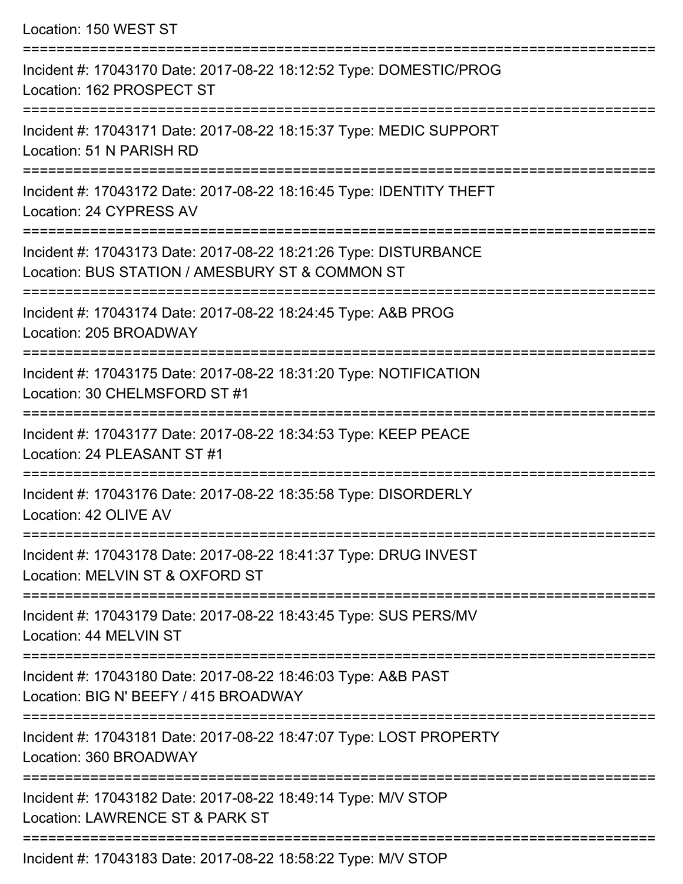Location: 150 WEST ST

| Incident #: 17043170 Date: 2017-08-22 18:12:52 Type: DOMESTIC/PROG<br>Location: 162 PROSPECT ST                             |
|-----------------------------------------------------------------------------------------------------------------------------|
| Incident #: 17043171 Date: 2017-08-22 18:15:37 Type: MEDIC SUPPORT<br>Location: 51 N PARISH RD                              |
| Incident #: 17043172 Date: 2017-08-22 18:16:45 Type: IDENTITY THEFT<br>Location: 24 CYPRESS AV                              |
| Incident #: 17043173 Date: 2017-08-22 18:21:26 Type: DISTURBANCE<br>Location: BUS STATION / AMESBURY ST & COMMON ST         |
| Incident #: 17043174 Date: 2017-08-22 18:24:45 Type: A&B PROG<br>Location: 205 BROADWAY                                     |
| Incident #: 17043175 Date: 2017-08-22 18:31:20 Type: NOTIFICATION<br>Location: 30 CHELMSFORD ST #1                          |
| Incident #: 17043177 Date: 2017-08-22 18:34:53 Type: KEEP PEACE<br>Location: 24 PLEASANT ST #1                              |
| Incident #: 17043176 Date: 2017-08-22 18:35:58 Type: DISORDERLY<br>Location: 42 OLIVE AV<br>. _ _ _ _ _ _ _ _ _ _ _ _ _ _ _ |
| Incident #: 17043178 Date: 2017-08-22 18:41:37 Type: DRUG INVEST<br>Location: MELVIN ST & OXFORD ST                         |
| Incident #: 17043179 Date: 2017-08-22 18:43:45 Type: SUS PERS/MV<br>Location: 44 MELVIN ST                                  |
| Incident #: 17043180 Date: 2017-08-22 18:46:03 Type: A&B PAST<br>Location: BIG N' BEEFY / 415 BROADWAY                      |
| Incident #: 17043181 Date: 2017-08-22 18:47:07 Type: LOST PROPERTY<br>Location: 360 BROADWAY                                |
| Incident #: 17043182 Date: 2017-08-22 18:49:14 Type: M/V STOP<br>Location: LAWRENCE ST & PARK ST                            |
| Incident #: 17043183 Date: 2017-08-22 18:58:22 Type: M/V STOP                                                               |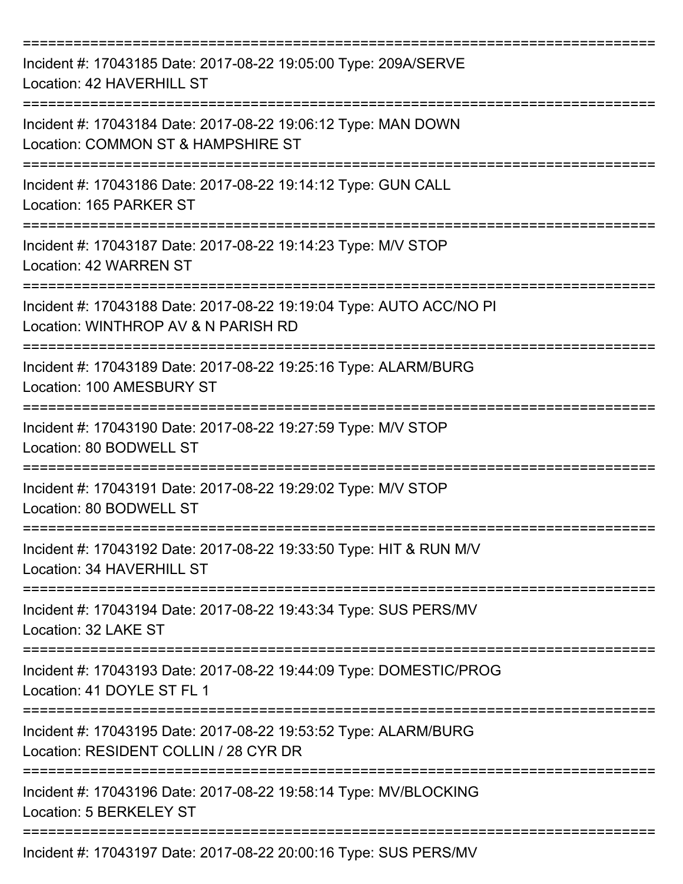| Incident #: 17043185 Date: 2017-08-22 19:05:00 Type: 209A/SERVE<br>Location: 42 HAVERHILL ST               |
|------------------------------------------------------------------------------------------------------------|
| Incident #: 17043184 Date: 2017-08-22 19:06:12 Type: MAN DOWN<br>Location: COMMON ST & HAMPSHIRE ST        |
| Incident #: 17043186 Date: 2017-08-22 19:14:12 Type: GUN CALL<br>Location: 165 PARKER ST                   |
| Incident #: 17043187 Date: 2017-08-22 19:14:23 Type: M/V STOP<br>Location: 42 WARREN ST                    |
| Incident #: 17043188 Date: 2017-08-22 19:19:04 Type: AUTO ACC/NO PI<br>Location: WINTHROP AV & N PARISH RD |
| Incident #: 17043189 Date: 2017-08-22 19:25:16 Type: ALARM/BURG<br>Location: 100 AMESBURY ST               |
| Incident #: 17043190 Date: 2017-08-22 19:27:59 Type: M/V STOP<br>Location: 80 BODWELL ST                   |
| Incident #: 17043191 Date: 2017-08-22 19:29:02 Type: M/V STOP<br>Location: 80 BODWELL ST                   |
| Incident #: 17043192 Date: 2017-08-22 19:33:50 Type: HIT & RUN M/V<br>Location: 34 HAVERHILL ST            |
| Incident #: 17043194 Date: 2017-08-22 19:43:34 Type: SUS PERS/MV<br>Location: 32 LAKE ST                   |
| Incident #: 17043193 Date: 2017-08-22 19:44:09 Type: DOMESTIC/PROG<br>Location: 41 DOYLE ST FL 1           |
| Incident #: 17043195 Date: 2017-08-22 19:53:52 Type: ALARM/BURG<br>Location: RESIDENT COLLIN / 28 CYR DR   |
| Incident #: 17043196 Date: 2017-08-22 19:58:14 Type: MV/BLOCKING<br>Location: 5 BERKELEY ST                |
| Incident #: 17043197 Date: 2017-08-22 20:00:16 Type: SUS PERS/MV                                           |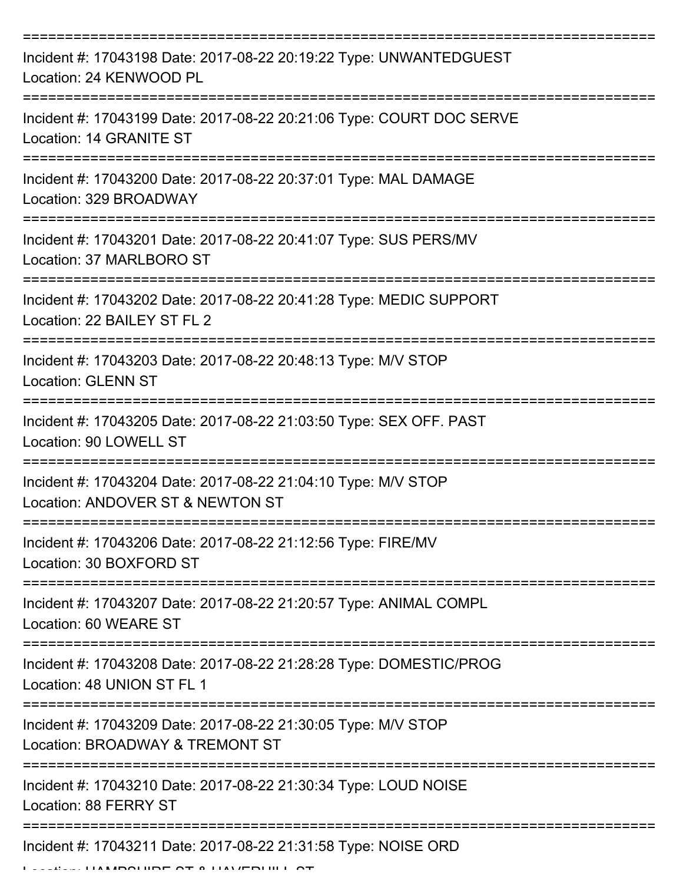| Incident #: 17043198 Date: 2017-08-22 20:19:22 Type: UNWANTEDGUEST<br>Location: 24 KENWOOD PL                                            |
|------------------------------------------------------------------------------------------------------------------------------------------|
| Incident #: 17043199 Date: 2017-08-22 20:21:06 Type: COURT DOC SERVE<br>Location: 14 GRANITE ST                                          |
| Incident #: 17043200 Date: 2017-08-22 20:37:01 Type: MAL DAMAGE<br>Location: 329 BROADWAY                                                |
| Incident #: 17043201 Date: 2017-08-22 20:41:07 Type: SUS PERS/MV<br>Location: 37 MARLBORO ST                                             |
| Incident #: 17043202 Date: 2017-08-22 20:41:28 Type: MEDIC SUPPORT<br>Location: 22 BAILEY ST FL 2                                        |
| Incident #: 17043203 Date: 2017-08-22 20:48:13 Type: M/V STOP<br><b>Location: GLENN ST</b>                                               |
| Incident #: 17043205 Date: 2017-08-22 21:03:50 Type: SEX OFF. PAST<br>Location: 90 LOWELL ST                                             |
| Incident #: 17043204 Date: 2017-08-22 21:04:10 Type: M/V STOP<br>Location: ANDOVER ST & NEWTON ST                                        |
| Incident #: 17043206 Date: 2017-08-22 21:12:56 Type: FIRE/MV<br>Location: 30 BOXFORD ST                                                  |
| Incident #: 17043207 Date: 2017-08-22 21:20:57 Type: ANIMAL COMPL<br>Location: 60 WEARE ST                                               |
| Incident #: 17043208 Date: 2017-08-22 21:28:28 Type: DOMESTIC/PROG<br>Location: 48 UNION ST FL 1                                         |
| Incident #: 17043209 Date: 2017-08-22 21:30:05 Type: M/V STOP<br>Location: BROADWAY & TREMONT ST                                         |
| Incident #: 17043210 Date: 2017-08-22 21:30:34 Type: LOUD NOISE<br>Location: 88 FERRY ST                                                 |
| Incident #: 17043211 Date: 2017-08-22 21:31:58 Type: NOISE ORD<br>$\begin{array}{c} \n\text{IIAI IDO} \\ \text{IIAI IDO} \\ \end{array}$ |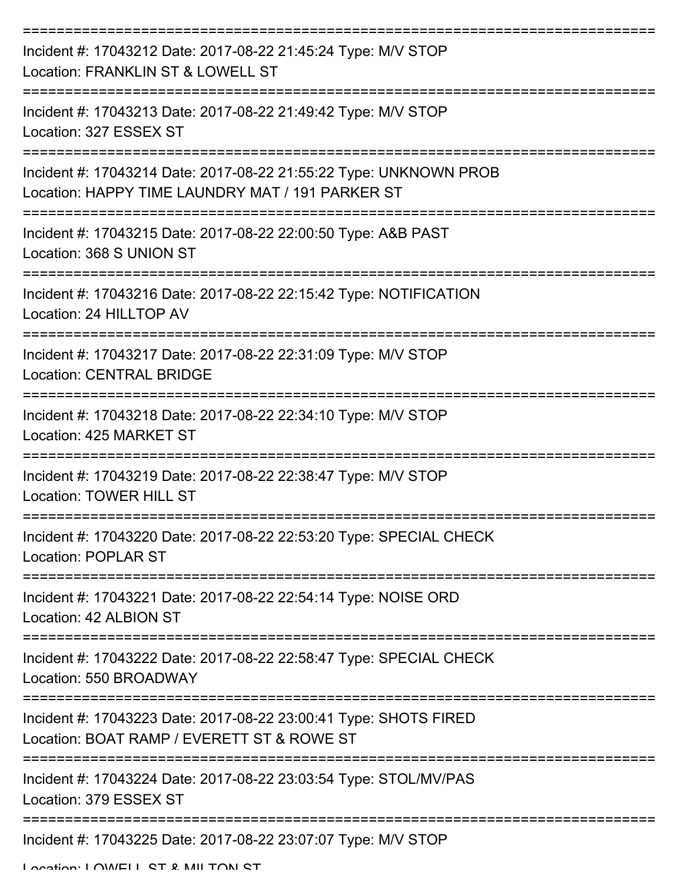| Incident #: 17043212 Date: 2017-08-22 21:45:24 Type: M/V STOP<br>Location: FRANKLIN ST & LOWELL ST                    |
|-----------------------------------------------------------------------------------------------------------------------|
| Incident #: 17043213 Date: 2017-08-22 21:49:42 Type: M/V STOP<br>Location: 327 ESSEX ST                               |
| Incident #: 17043214 Date: 2017-08-22 21:55:22 Type: UNKNOWN PROB<br>Location: HAPPY TIME LAUNDRY MAT / 191 PARKER ST |
| Incident #: 17043215 Date: 2017-08-22 22:00:50 Type: A&B PAST<br>Location: 368 S UNION ST                             |
| Incident #: 17043216 Date: 2017-08-22 22:15:42 Type: NOTIFICATION<br>Location: 24 HILLTOP AV                          |
| Incident #: 17043217 Date: 2017-08-22 22:31:09 Type: M/V STOP<br><b>Location: CENTRAL BRIDGE</b>                      |
| Incident #: 17043218 Date: 2017-08-22 22:34:10 Type: M/V STOP<br>Location: 425 MARKET ST                              |
| Incident #: 17043219 Date: 2017-08-22 22:38:47 Type: M/V STOP<br><b>Location: TOWER HILL ST</b>                       |
| Incident #: 17043220 Date: 2017-08-22 22:53:20 Type: SPECIAL CHECK<br><b>Location: POPLAR ST</b>                      |
| ===============<br>Incident #: 17043221 Date: 2017-08-22 22:54:14 Type: NOISE ORD<br>Location: 42 ALBION ST           |
| Incident #: 17043222 Date: 2017-08-22 22:58:47 Type: SPECIAL CHECK<br>Location: 550 BROADWAY                          |
| Incident #: 17043223 Date: 2017-08-22 23:00:41 Type: SHOTS FIRED<br>Location: BOAT RAMP / EVERETT ST & ROWE ST        |
| Incident #: 17043224 Date: 2017-08-22 23:03:54 Type: STOL/MV/PAS<br>Location: 379 ESSEX ST                            |
| Incident #: 17043225 Date: 2017-08-22 23:07:07 Type: M/V STOP                                                         |

Location: LOWELL ST & MILTON ST